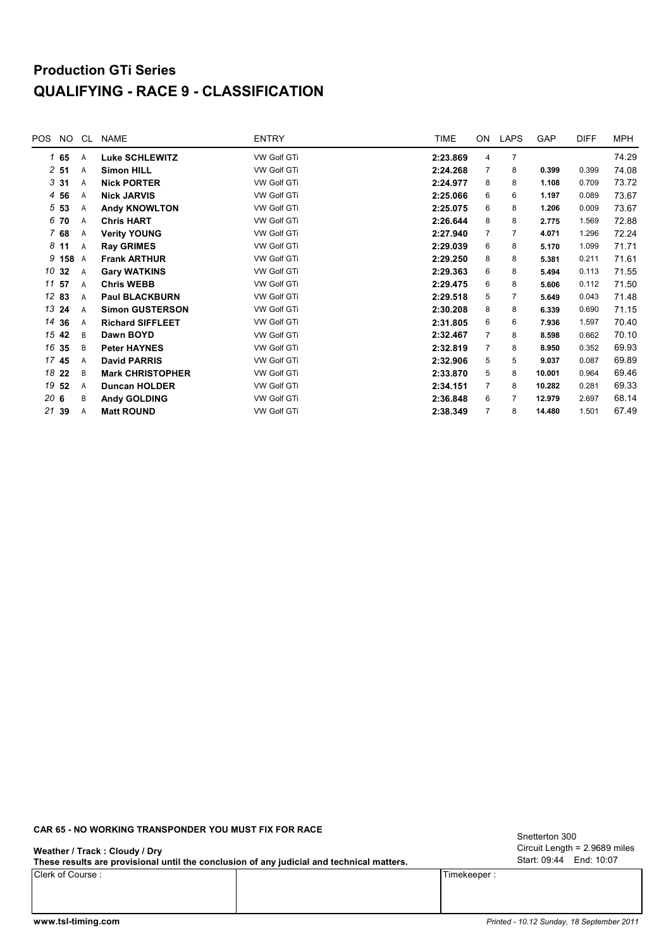# **Production GTi Series QUALIFYING - RACE 9 - CLASSIFICATION**

| POS | NO.             | CL             | <b>NAME</b>             | <b>ENTRY</b>       | <b>TIME</b> | ON             | <b>LAPS</b>    | GAP    | <b>DIFF</b> | <b>MPH</b> |
|-----|-----------------|----------------|-------------------------|--------------------|-------------|----------------|----------------|--------|-------------|------------|
|     | 165             | Α              | <b>Luke SCHLEWITZ</b>   | <b>VW Golf GTi</b> | 2:23.869    | 4              | $\overline{7}$ |        |             | 74.29      |
|     | $2\,$ 51        | A              | <b>Simon HILL</b>       | VW Golf GTi        | 2:24.268    | 7              | 8              | 0.399  | 0.399       | 74.08      |
|     | 331             | A              | <b>Nick PORTER</b>      | VW Golf GTi        | 2:24.977    | 8              | 8              | 1.108  | 0.709       | 73.72      |
|     | 4 56            | A              | <b>Nick JARVIS</b>      | VW Golf GTi        | 2:25.066    | 6              | 6              | 1.197  | 0.089       | 73.67      |
|     | 5 <sub>53</sub> | Α              | <b>Andy KNOWLTON</b>    | VW Golf GTi        | 2:25.075    | 6              | 8              | 1.206  | 0.009       | 73.67      |
|     | 6 70            | A              | <b>Chris HART</b>       | VW Golf GTi        | 2:26.644    | 8              | 8              | 2.775  | 1.569       | 72.88      |
|     | 7 68            | Α              | <b>Verity YOUNG</b>     | VW Golf GTi        | 2:27.940    | 7              | 7              | 4.071  | 1.296       | 72.24      |
|     | 8 <sub>11</sub> | A              | <b>Ray GRIMES</b>       | VW Golf GTi        | 2:29.039    | 6              | 8              | 5.170  | 1.099       | 71.71      |
| 9   | 158             | $\overline{A}$ | <b>Frank ARTHUR</b>     | <b>VW Golf GTi</b> | 2:29.250    | 8              | 8              | 5.381  | 0.211       | 71.61      |
|     | 10 32           | A              | <b>Gary WATKINS</b>     | VW Golf GTi        | 2:29.363    | 6              | 8              | 5.494  | 0.113       | 71.55      |
|     | 11 57           | A              | <b>Chris WEBB</b>       | VW Golf GTi        | 2:29.475    | 6              | 8              | 5.606  | 0.112       | 71.50      |
|     | 12 83           | A              | <b>Paul BLACKBURN</b>   | VW Golf GTi        | 2:29.518    | 5              | 7              | 5.649  | 0.043       | 71.48      |
|     | 13 24           | A              | <b>Simon GUSTERSON</b>  | VW Golf GTi        | 2:30.208    | 8              | 8              | 6.339  | 0.690       | 71.15      |
|     | 14 36           | A              | <b>Richard SIFFLEET</b> | <b>VW Golf GTi</b> | 2:31.805    | 6              | 6              | 7.936  | 1.597       | 70.40      |
|     | 15 42           | B              | Dawn BOYD               | VW Golf GTi        | 2:32.467    | $\overline{7}$ | 8              | 8.598  | 0.662       | 70.10      |
|     | 16 35           | B              | <b>Peter HAYNES</b>     | <b>VW Golf GTi</b> | 2:32.819    | 7              | 8              | 8.950  | 0.352       | 69.93      |
|     | 17 45           | A              | <b>David PARRIS</b>     | VW Golf GTi        | 2:32.906    | 5              | 5              | 9.037  | 0.087       | 69.89      |
|     | 18 22           | B              | <b>Mark CHRISTOPHER</b> | VW Golf GTi        | 2:33.870    | 5              | 8              | 10.001 | 0.964       | 69.46      |
| 19  | 52              | A              | <b>Duncan HOLDER</b>    | VW Golf GTi        | 2:34.151    | $\overline{7}$ | 8              | 10.282 | 0.281       | 69.33      |
| 20G |                 | В              | <b>Andy GOLDING</b>     | VW Golf GTi        | 2:36.848    | 6              | 7              | 12.979 | 2.697       | 68.14      |
| 21  | 39              | A              | <b>Matt ROUND</b>       | VW Golf GTi        | 2:38.349    | $\overline{7}$ | 8              | 14.480 | 1.501       | 67.49      |
|     |                 |                |                         |                    |             |                |                |        |             |            |

### **CAR 65 - NO WORKING TRANSPONDER YOU MUST FIX FOR RACE**

#### **Weather / Track : Cloudy / Dry**

**These results are provisional until the conclusion of any judicial and technical matters.**

Clerk of Course : Timekeeper :

Circuit Length = 2.9689 miles Start: 09:44 End: 10:07 Snetterton 300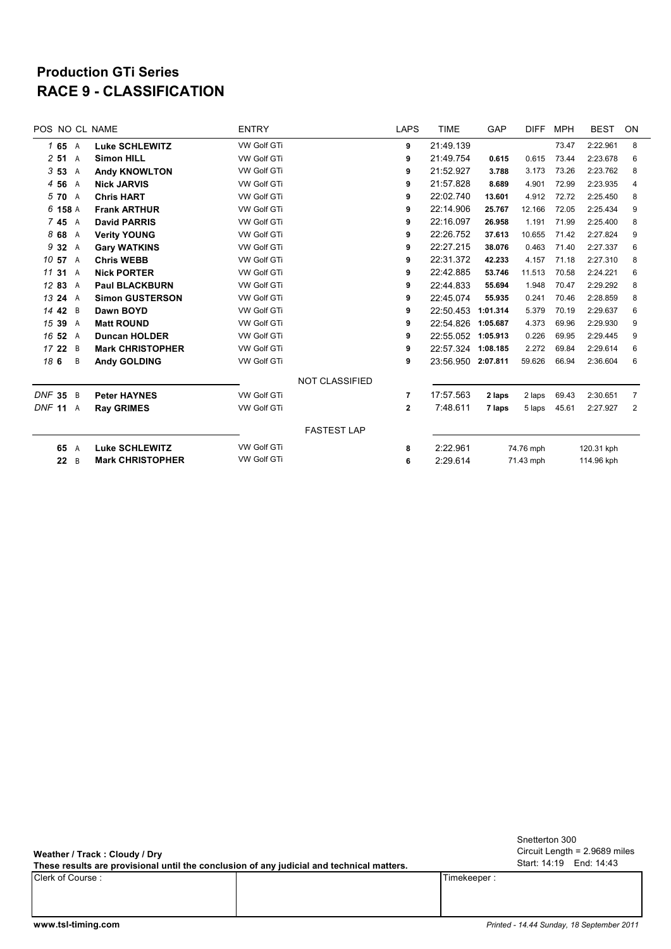## **RACE 9 - CLASSIFICATION Production GTi Series**

| POS NO CL NAME |   |                         | <b>ENTRY</b>       |                       | <b>LAPS</b>  | <b>TIME</b>           | GAP       | <b>DIFF</b> | <b>MPH</b> | <b>BEST</b> | <b>ON</b> |
|----------------|---|-------------------------|--------------------|-----------------------|--------------|-----------------------|-----------|-------------|------------|-------------|-----------|
| 165A           |   | <b>Luke SCHLEWITZ</b>   | <b>VW Golf GTi</b> |                       | 9            | 21:49.139             |           |             | 73.47      | 2:22.961    | 8         |
| 251            | A | <b>Simon HILL</b>       | <b>VW Golf GTi</b> |                       | 9            | 21:49.754             | 0.615     | 0.615       | 73.44      | 2:23.678    | 6         |
| 353            | A | <b>Andy KNOWLTON</b>    | <b>VW Golf GTi</b> |                       | 9            | 21:52.927             | 3.788     | 3.173       | 73.26      | 2:23.762    | 8         |
| 4 5 6          | A | <b>Nick JARVIS</b>      | <b>VW Golf GTi</b> |                       | 9            | 21:57.828             | 8.689     | 4.901       | 72.99      | 2:23.935    | 4         |
| 5 70           | A | <b>Chris HART</b>       | <b>VW Golf GTi</b> |                       | 9            | 22:02.740             | 13.601    | 4.912       | 72.72      | 2:25.450    | 8         |
| 6 158 A        |   | <b>Frank ARTHUR</b>     | <b>VW Golf GTi</b> |                       | 9            | 22:14.906             | 25.767    | 12.166      | 72.05      | 2:25.434    | 9         |
| 745 A          |   | <b>David PARRIS</b>     | <b>VW Golf GTi</b> |                       | 9            | 22:16.097             | 26.958    | 1.191       | 71.99      | 2:25.400    | 8         |
| 868            | Α | <b>Verity YOUNG</b>     | VW Golf GTi        |                       | 9            | 22:26.752             | 37.613    | 10.655      | 71.42      | 2:27.824    | 9         |
| 9 3 2          | Α | <b>Gary WATKINS</b>     | <b>VW Golf GTi</b> |                       | 9            | 22:27.215             | 38.076    | 0.463       | 71.40      | 2:27.337    | 6         |
| 10 57 A        |   | <b>Chris WEBB</b>       | <b>VW Golf GTi</b> |                       | 9            | 22:31.372             | 42.233    | 4.157       | 71.18      | 2:27.310    | 8         |
| 11 31          | A | <b>Nick PORTER</b>      | VW Golf GTi        |                       | 9            | 22:42.885             | 53.746    | 11.513      | 70.58      | 2:24.221    | 6         |
| 12 83          | Α | <b>Paul BLACKBURN</b>   | VW Golf GTi        |                       | 9            | 22:44.833             | 55.694    | 1.948       | 70.47      | 2:29.292    | 8         |
| 13 24          | A | <b>Simon GUSTERSON</b>  | <b>VW Golf GTi</b> |                       | 9            | 22:45.074             | 55.935    | 0.241       | 70.46      | 2:28.859    | 8         |
| 14 42          | B | Dawn BOYD               | VW Golf GTi        |                       | 9            | 22:50.453             | 1:01.314  | 5.379       | 70.19      | 2:29.637    | 6         |
| 15 39          | A | <b>Matt ROUND</b>       | <b>VW Golf GTi</b> |                       | 9            | 22:54.826             | 1:05.687  | 4.373       | 69.96      | 2:29.930    | 9         |
| 16 52          | A | <b>Duncan HOLDER</b>    | VW Golf GTi        |                       | 9            | 22:55.052 1:05.913    |           | 0.226       | 69.95      | 2:29.445    | 9         |
| 1722           | B | <b>Mark CHRISTOPHER</b> | <b>VW Golf GTi</b> |                       | 9            | 22:57.324 1:08.185    |           | 2.272       | 69.84      | 2:29.614    | 6         |
| 18 6           | B | <b>Andy GOLDING</b>     | VW Golf GTi        |                       | 9            | 23:56.950 2:07.811    |           | 59.626      | 66.94      | 2:36.604    | 6         |
|                |   |                         |                    | <b>NOT CLASSIFIED</b> |              |                       |           |             |            |             |           |
| <b>DNF 35</b>  | B | <b>Peter HAYNES</b>     | <b>VW Golf GTi</b> |                       | 7            | 17:57.563             | 2 laps    | 2 laps      | 69.43      | 2:30.651    | 7         |
| DNF 11 A       |   | <b>Ray GRIMES</b>       | VW Golf GTi        |                       | $\mathbf{2}$ | 7:48.611              | 7 laps    | 5 laps      | 45.61      | 2:27.927    | 2         |
|                |   |                         |                    | <b>FASTEST LAP</b>    |              |                       |           |             |            |             |           |
| 65             | A | <b>Luke SCHLEWITZ</b>   | <b>VW Golf GTi</b> |                       | 8            | 2:22.961              | 74.76 mph |             |            | 120.31 kph  |           |
| 22             | B | <b>Mark CHRISTOPHER</b> | <b>VW Golf GTi</b> |                       | 6            | 2:29.614<br>71.43 mph |           |             | 114.96 kph |             |           |
|                |   |                         |                    |                       |              |                       |           |             |            |             |           |

**Weather / Track : Cloudy / Dry**

**These results are provisional until the conclusion of any judicial and technical matters.**

Clerk of Course : Timekeeper : Timekeeper : Timekeeper : Timekeeper : Timekeeper : Timekeeper : Timekeeper : Timekeeper : Timekeeper : Timekeeper : Timekeeper : Timekeeper : Timekeeper : Timekeeper : Timekeeper : Timekeepe

Circuit Length = 2.9689 miles Start: 14:19 End: 14:43 Snetterton 300